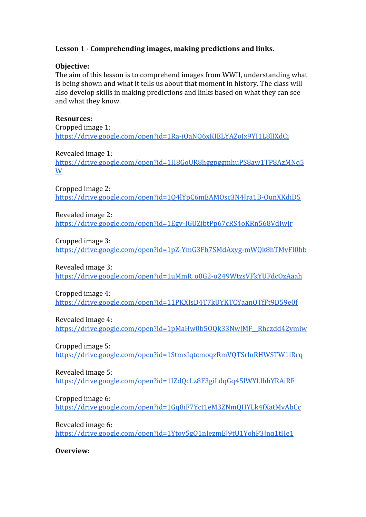## **Lesson 1 - Comprehending images, making predictions and links.**

### **Objective:**

The aim of this lesson is to comprehend images from WWII, understanding what is being shown and what it tells us about that moment in history. The class will also develop skills in making predictions and links based on what they can see and what they know.

#### **Resources:**

Cropped image 1: <https://drive.google.com/open?id=1Ra-iOaNQ6xKIELYAZoJx9YI1L8lIXdCi>

Revealed image 1: [https://drive.google.com/open?id=1H8GoUR8hggpggmhuPS8aw1TP8AzMNq5](https://drive.google.com/open?id=1H8GoUR8hggpggmhuPS8aw1TP8AzMNq5W) [W](https://drive.google.com/open?id=1H8GoUR8hggpggmhuPS8aw1TP8AzMNq5W)

Cropped image 2: <https://drive.google.com/open?id=1Q4lYpC6mEAMOsc3N4Jra1B-OunXKdiD5>

Revealed image 2: <https://drive.google.com/open?id=1Egv-IGUZjbtPp67cRS4oKRn568VdIwJr>

Cropped image 3: <https://drive.google.com/open?id=1pZ-YmG3Fb7SMdAxyg-mWQk8hTMvFI0hb>

Revealed image 3:

[https://drive.google.com/open?id=1uMmR\\_o0G2-o249WtzsVFkYUFdcOzAaah](https://drive.google.com/open?id=1uMmR_o0G2-o249WtzsVFkYUFdcOzAaah)

Cropped image 4:

<https://drive.google.com/open?id=11PKXIsD4T7kUYKTCYaanQTfFt9D59e0f>

Revealed image 4:

[https://drive.google.com/open?id=1pMaHw0b5OQk33NwJMF\\_\\_Rhczdd42ymiw](https://drive.google.com/open?id=1pMaHw0b5OQk33NwJMF__Rhczdd42ymiw)

Cropped image 5:

<https://drive.google.com/open?id=1StmxIqtcmoqzRmVQTSrlnRHWSTW1iRrq>

Revealed image 5:

<https://drive.google.com/open?id=1IZdQcLz8F3giLdqGq45lWYLlhhYRAiRF>

Cropped image 6:

<https://drive.google.com/open?id=1Gq8iF7Yct1eM3ZNmQHYLk4fXatMvAbCc>

Revealed image 6:

<https://drive.google.com/open?id=1Ytoy5gQ1nIezmEJ9tU1YohP3Jnq1tHe1>

**Overview:**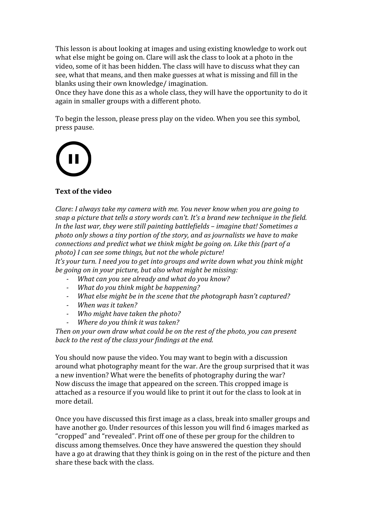This lesson is about looking at images and using existing knowledge to work out what else might be going on. Clare will ask the class to look at a photo in the video, some of it has been hidden. The class will have to discuss what they can see, what that means, and then make guesses at what is missing and fill in the blanks using their own knowledge/ imagination.

Once they have done this as a whole class, they will have the opportunity to do it again in smaller groups with a different photo.

To begin the lesson, please press play on the video. When you see this symbol, press pause.



## **Text of the video**

*Clare: I always take my camera with me. You never know when you are going to snap a picture that tells a story words can't. It's a brand new technique in the field. In the last war, they were still painting battlefields – imagine that! Sometimes a photo only shows a tiny portion of the story, and as journalists we have to make connections and predict what we think might be going on. Like this (part of a photo) I can see some things, but not the whole picture!*

*It's your turn. I need you to get into groups and write down what you think might be going on in your picture, but also what might be missing:*

- *- What can you see already and what do you know?*
- *- What do you think might be happening?*
- *- What else might be in the scene that the photograph hasn't captured?*
- *- When was it taken?*
- *- Who might have taken the photo?*
- *- Where do you think it was taken?*

*Then on your own draw what could be on the rest of the photo, you can present back to the rest of the class your findings at the end.*

You should now pause the video. You may want to begin with a discussion around what photography meant for the war. Are the group surprised that it was a new invention? What were the benefits of photography during the war? Now discuss the image that appeared on the screen. This cropped image is attached as a resource if you would like to print it out for the class to look at in more detail.

Once you have discussed this first image as a class, break into smaller groups and have another go. Under resources of this lesson you will find 6 images marked as "cropped" and "revealed". Print off one of these per group for the children to discuss among themselves. Once they have answered the question they should have a go at drawing that they think is going on in the rest of the picture and then share these back with the class.